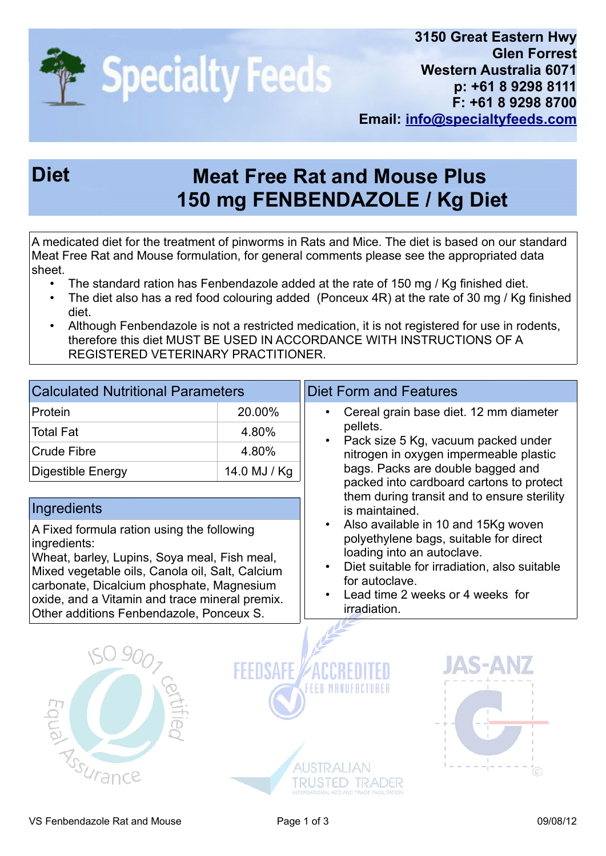

## **Diet Meat Free Rat and Mouse Plus 150 mg FENBENDAZOLE / Kg Diet**

A medicated diet for the treatment of pinworms in Rats and Mice. The diet is based on our standard Meat Free Rat and Mouse formulation, for general comments please see the appropriated data sheet.

- The standard ration has Fenbendazole added at the rate of 150 mg / Kg finished diet.
- The diet also has a red food colouring added (Ponceux 4R) at the rate of 30 mg / Kg finished diet.
- Although Fenbendazole is not a restricted medication, it is not registered for use in rodents, therefore this diet MUST BE USED IN ACCORDANCE WITH INSTRUCTIONS OF A REGISTERED VETERINARY PRACTITIONER.

| <b>Calculated Nutritional Parameters</b> |              |  |
|------------------------------------------|--------------|--|
| Protein                                  | 20.00%       |  |
| ⊺Total Fat                               | 4.80%        |  |
| Crude Fibre                              | 4.80%        |  |
| Digestible Energy                        | 14.0 MJ / Kg |  |

## **Ingredients**

A Fixed formula ration using the following ingredients:

Wheat, barley, Lupins, Soya meal, Fish meal, Mixed vegetable oils, Canola oil, Salt, Calcium carbonate, Dicalcium phosphate, Magnesium oxide, and a Vitamin and trace mineral premix. Other additions Fenbendazole, Ponceux S.

## Diet Form and Features

- Cereal grain base diet. 12 mm diameter pellets.
- Pack size 5 Kg, vacuum packed under nitrogen in oxygen impermeable plastic bags. Packs are double bagged and packed into cardboard cartons to protect them during transit and to ensure sterility is maintained.
- Also available in 10 and 15Kg woven polyethylene bags, suitable for direct loading into an autoclave.
- Diet suitable for irradiation, also suitable for autoclave.
- Lead time 2 weeks or 4 weeks for irradiation.





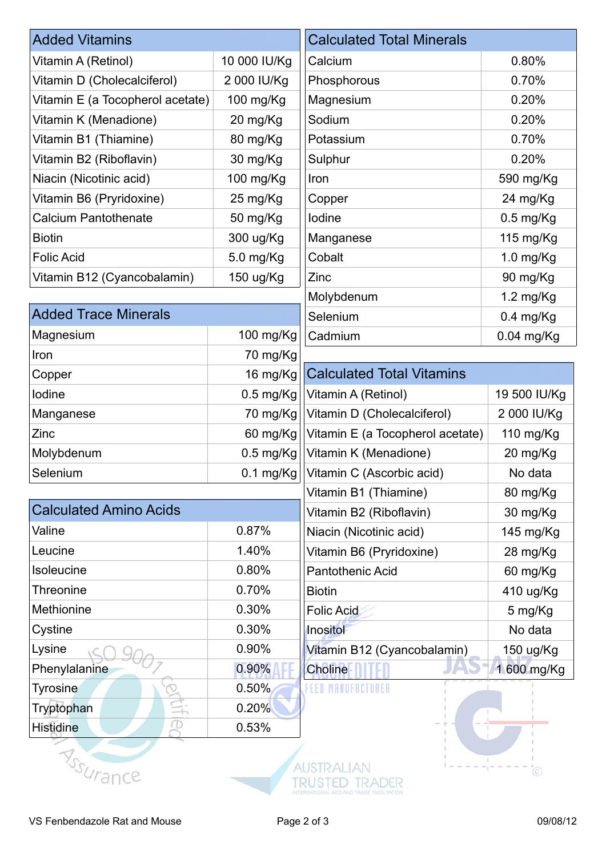| <b>Added Vitamins</b>            |                         | <b>Calculated Total Minerals</b>                 |                     |
|----------------------------------|-------------------------|--------------------------------------------------|---------------------|
| Vitamin A (Retinol)              | 10 000 IU/Kg            | Calcium                                          | 0.80%               |
| Vitamin D (Cholecalciferol)      | 2 000 IU/Kg             | Phosphorous                                      | 0.70%               |
| Vitamin E (a Tocopherol acetate) | 100 mg/Kg               | Magnesium                                        | 0.20%               |
| Vitamin K (Menadione)            | 20 mg/Kg                | Sodium                                           | 0.20%               |
| Vitamin B1 (Thiamine)            | 80 mg/Kg                | Potassium                                        | 0.70%               |
| Vitamin B2 (Riboflavin)          | 30 mg/Kg                | Sulphur                                          | 0.20%               |
| Niacin (Nicotinic acid)          | 100 mg/Kg               | Iron                                             | 590 mg/Kg           |
| Vitamin B6 (Pryridoxine)         | 25 mg/Kg                | Copper                                           | 24 mg/Kg            |
| <b>Calcium Pantothenate</b>      | 50 mg/Kg                | lodine                                           | $0.5$ mg/Kg         |
| <b>Biotin</b>                    | 300 ug/Kg               | Manganese                                        | 115 mg/Kg           |
| <b>Folic Acid</b>                | 5.0 mg/Kg               | Cobalt                                           | $1.0$ mg/Kg         |
| Vitamin B12 (Cyancobalamin)      | 150 ug/Kg               | Zinc                                             | 90 mg/Kg            |
|                                  |                         | Molybdenum                                       | $1.2 \text{ mg/Kg}$ |
| <b>Added Trace Minerals</b>      |                         | Selenium<br>$0.4$ mg/Kg                          |                     |
| Magnesium                        | 100 mg/Kg               | Cadmium                                          | $0.04$ mg/Kg        |
| Iron                             | 70 mg/Kg                |                                                  |                     |
| Copper                           | 16 mg/Kg                | <b>Calculated Total Vitamins</b>                 |                     |
| lodine                           | $0.5$ mg/Kg             | Vitamin A (Retinol)                              | 19 500 IU/Kg        |
| Manganese                        | 70 mg/Kg                | Vitamin D (Cholecalciferol)                      | 2 000 IU/Kg         |
| Zinc                             | 60 mg/Kg                | Vitamin E (a Tocopherol acetate)<br>110 mg/Kg    |                     |
| Molybdenum                       | $0.5$ mg/Kg             | Vitamin K (Menadione)                            | 20 mg/Kg            |
| Selenium                         |                         | 0.1 mg/Kg   Vitamin C (Ascorbic acid)<br>No data |                     |
|                                  |                         | Vitamin B1 (Thiamine)                            | 80 mg/Kg            |
| <b>Calculated Amino Acids</b>    | Vitamin B2 (Riboflavin) |                                                  | 30 mg/Kg            |
| Valine                           | 0.87%                   | Niacin (Nicotinic acid)                          | 145 mg/Kg           |
| Leucine                          | 1.40%                   | Vitamin B6 (Pryridoxine)                         | 28 mg/Kg            |
| Isoleucine                       | 0.80%                   | <b>Pantothenic Acid</b>                          | 60 mg/Kg            |
| <b>Threonine</b>                 | 0.70%                   | <b>Biotin</b>                                    | 410 ug/Kg           |
| Methionine                       | 0.30%                   | <b>Folic Acid</b>                                | 5 mg/Kg             |
| Cystine                          | 0.30%                   | Inositol<br>No data                              |                     |
| Lysine                           | 0.90%                   | Vitamin B12 (Cyancobalamin)                      | 150 ug/Kg           |
| Phenylalanine                    | 0.90%                   | <b>Choline</b>                                   | 1 600 mg/Kg         |
| <b>Tyrosine</b>                  | 0.50%                   | EED MANUFACTII                                   |                     |
| Tryptophan                       | 0.20%                   |                                                  |                     |
| <b>Histidine</b>                 | 0.53%                   |                                                  |                     |
|                                  |                         |                                                  |                     |
| <b>Assurance</b>                 |                         |                                                  | $\circled{c}$       |